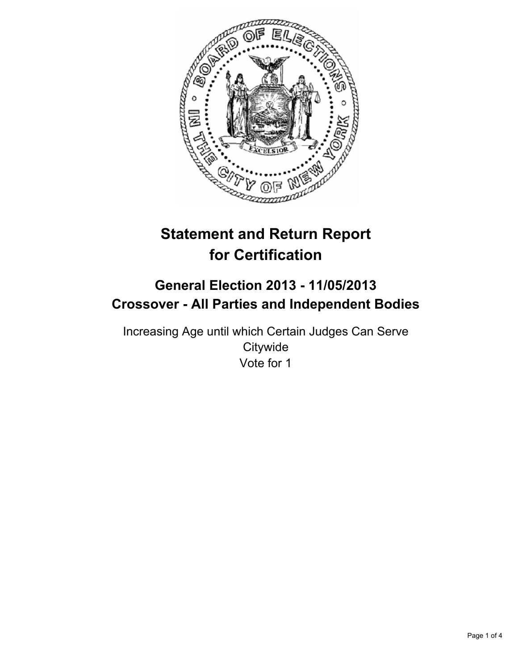

# **Statement and Return Report for Certification**

## **General Election 2013 - 11/05/2013 Crossover - All Parties and Independent Bodies**

Increasing Age until which Certain Judges Can Serve **Citywide** Vote for 1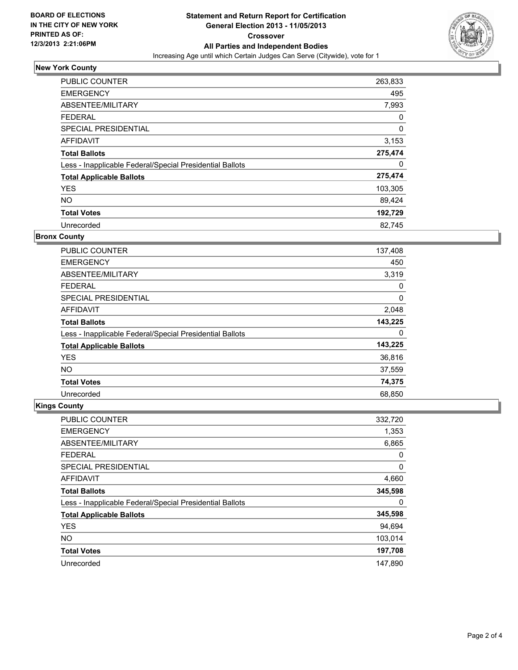

## **New York County**

| <b>PUBLIC COUNTER</b>                                    | 263,833 |
|----------------------------------------------------------|---------|
| <b>EMERGENCY</b>                                         | 495     |
| ABSENTEE/MILITARY                                        | 7,993   |
| <b>FEDERAL</b>                                           | 0       |
| <b>SPECIAL PRESIDENTIAL</b>                              | 0       |
| <b>AFFIDAVIT</b>                                         | 3,153   |
| <b>Total Ballots</b>                                     | 275,474 |
| Less - Inapplicable Federal/Special Presidential Ballots | 0       |
| <b>Total Applicable Ballots</b>                          | 275,474 |
| <b>YES</b>                                               | 103,305 |
| <b>NO</b>                                                | 89,424  |
| <b>Total Votes</b>                                       | 192,729 |
| Unrecorded                                               | 82.745  |

#### **Bronx County**

| <b>PUBLIC COUNTER</b>                                    | 137,408 |
|----------------------------------------------------------|---------|
| <b>EMERGENCY</b>                                         | 450     |
| ABSENTEE/MILITARY                                        | 3,319   |
| <b>FEDERAL</b>                                           | 0       |
| SPECIAL PRESIDENTIAL                                     | 0       |
| AFFIDAVIT                                                | 2,048   |
| <b>Total Ballots</b>                                     | 143,225 |
| Less - Inapplicable Federal/Special Presidential Ballots | 0       |
| <b>Total Applicable Ballots</b>                          | 143,225 |
| <b>YES</b>                                               | 36,816  |
| <b>NO</b>                                                | 37,559  |
| <b>Total Votes</b>                                       | 74,375  |
| Unrecorded                                               | 68,850  |

## **Kings County**

| <b>PUBLIC COUNTER</b>                                    | 332,720 |
|----------------------------------------------------------|---------|
| <b>EMERGENCY</b>                                         | 1,353   |
| ABSENTEE/MILITARY                                        | 6,865   |
| <b>FEDERAL</b>                                           | 0       |
| SPECIAL PRESIDENTIAL                                     | 0       |
| AFFIDAVIT                                                | 4,660   |
| <b>Total Ballots</b>                                     | 345,598 |
| Less - Inapplicable Federal/Special Presidential Ballots | 0       |
| <b>Total Applicable Ballots</b>                          | 345,598 |
| <b>YES</b>                                               | 94,694  |
| <b>NO</b>                                                | 103,014 |
| <b>Total Votes</b>                                       | 197,708 |
| Unrecorded                                               | 147.890 |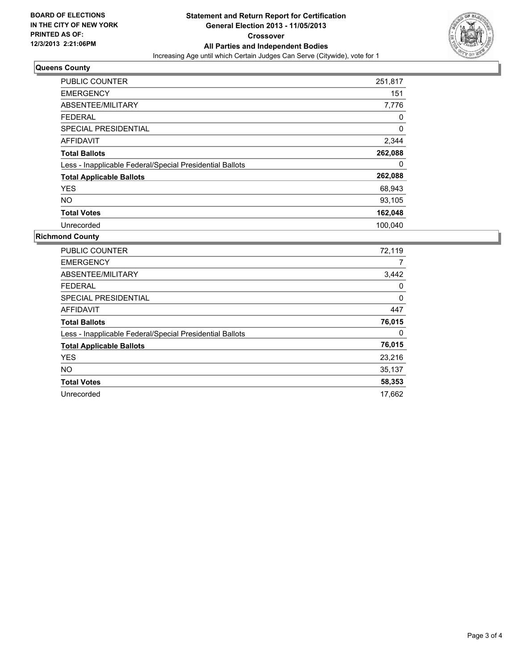

### **Queens County**

| <b>PUBLIC COUNTER</b>                                    | 251,817  |
|----------------------------------------------------------|----------|
| <b>EMERGENCY</b>                                         | 151      |
| ABSENTEE/MILITARY                                        | 7,776    |
| <b>FEDERAL</b>                                           | 0        |
| <b>SPECIAL PRESIDENTIAL</b>                              | $\Omega$ |
| <b>AFFIDAVIT</b>                                         | 2,344    |
| <b>Total Ballots</b>                                     | 262,088  |
| Less - Inapplicable Federal/Special Presidential Ballots | 0        |
| <b>Total Applicable Ballots</b>                          | 262,088  |
| <b>YES</b>                                               | 68,943   |
| <b>NO</b>                                                | 93,105   |
| <b>Total Votes</b>                                       | 162,048  |
| Unrecorded                                               | 100,040  |

## **Richmond County**

| <b>PUBLIC COUNTER</b>                                    | 72,119 |
|----------------------------------------------------------|--------|
| <b>EMERGENCY</b>                                         | 7      |
| ABSENTEE/MILITARY                                        | 3,442  |
| <b>FEDERAL</b>                                           | 0      |
| <b>SPECIAL PRESIDENTIAL</b>                              | 0      |
| <b>AFFIDAVIT</b>                                         | 447    |
| <b>Total Ballots</b>                                     | 76,015 |
| Less - Inapplicable Federal/Special Presidential Ballots | 0      |
| <b>Total Applicable Ballots</b>                          | 76,015 |
| <b>YES</b>                                               | 23,216 |
| <b>NO</b>                                                | 35,137 |
| <b>Total Votes</b>                                       | 58,353 |
| Unrecorded                                               | 17,662 |